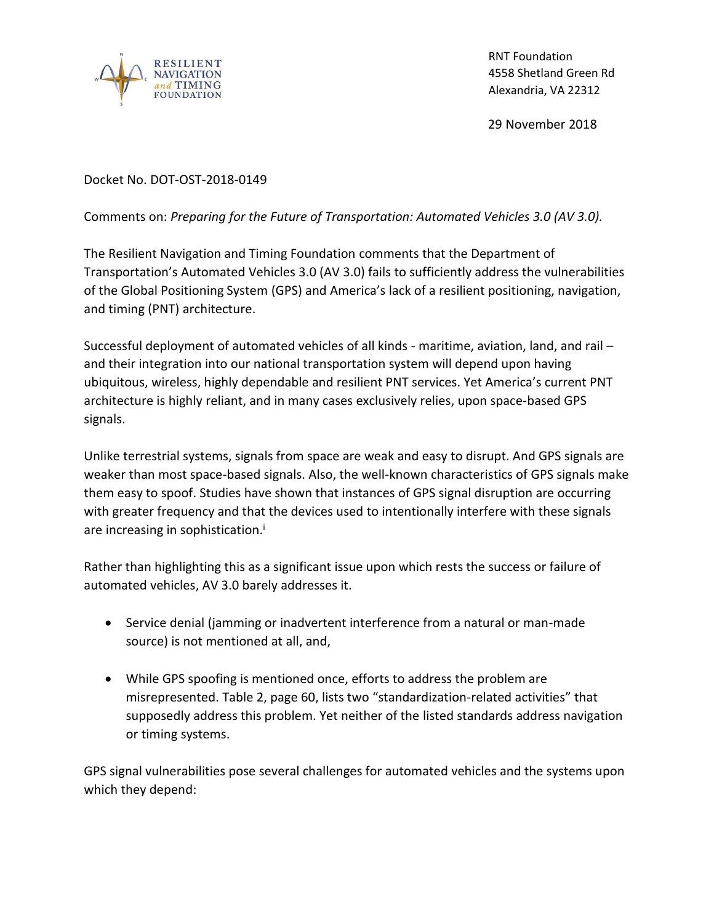

RNT Foundation 4558 Shetland Green Rd Alexandria, VA 22312

29 November 2018

## Docket No. DOT-OST-2018-0149

## Comments on: *Preparing for the Future of Transportation: Automated Vehicles 3.0 (AV 3.0).*

The Resilient Navigation and Timing Foundation comments that the Department of Transportation's Automated Vehicles 3.0 (AV 3.0) fails to sufficiently address the vulnerabilities of the Global Positioning System (GPS) and America's lack of a resilient positioning, navigation, and timing (PNT) architecture.

Successful deployment of automated vehicles of all kinds - maritime, aviation, land, and rail – and their integration into our national transportation system will depend upon having ubiquitous, wireless, highly dependable and resilient PNT services. Yet America's current PNT architecture is highly reliant, and in many cases exclusively relies, upon space-based GPS signals.

Unlike terrestrial systems, signals from space are weak and easy to disrupt. And GPS signals are weaker than most space-based signals. Also, the well-known characteristics of GPS signals make them easy to spoof. Studies have shown that instances of GPS signal disruption are occurring with greater frequency and that the devices used to intentionally interfere with these signals are increasing in sophistication.<sup>i</sup>

Rather than highlighting this as a significant issue upon which rests the success or failure of automated vehicles, AV 3.0 barely addresses it.

- Service denial (jamming or inadvertent interference from a natural or man-made source) is not mentioned at all, and,
- While GPS spoofing is mentioned once, efforts to address the problem are misrepresented. Table 2, page 60, lists two "standardization-related activities" that supposedly address this problem. Yet neither of the listed standards address navigation or timing systems.

GPS signal vulnerabilities pose several challenges for automated vehicles and the systems upon which they depend: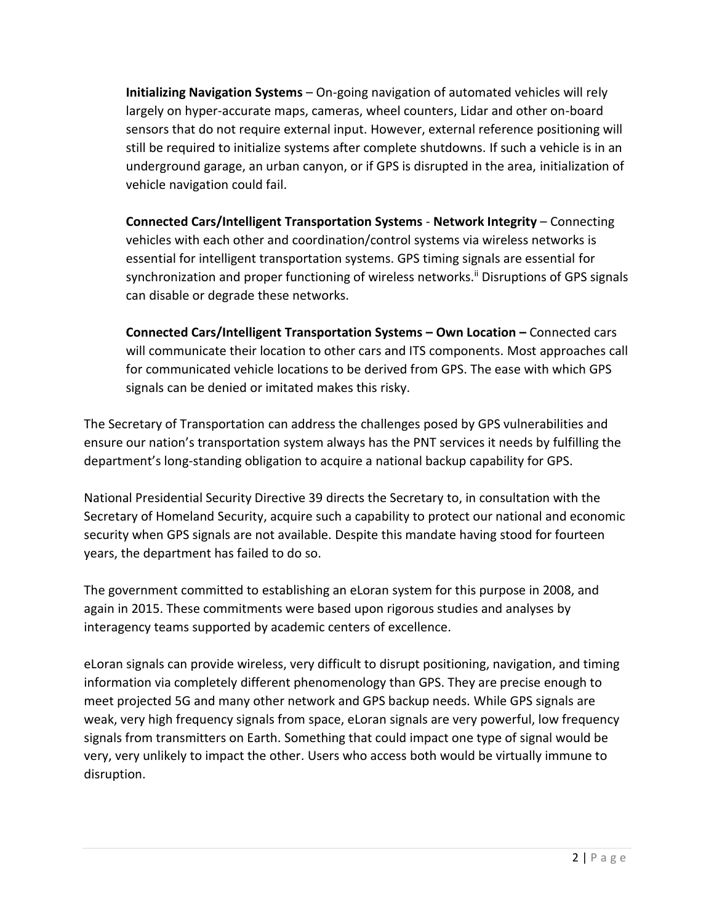**Initializing Navigation Systems** – On-going navigation of automated vehicles will rely largely on hyper-accurate maps, cameras, wheel counters, Lidar and other on-board sensors that do not require external input. However, external reference positioning will still be required to initialize systems after complete shutdowns. If such a vehicle is in an underground garage, an urban canyon, or if GPS is disrupted in the area, initialization of vehicle navigation could fail.

**Connected Cars/Intelligent Transportation Systems** - **Network Integrity** – Connecting vehicles with each other and coordination/control systems via wireless networks is essential for intelligent transportation systems. GPS timing signals are essential for synchronization and proper functioning of wireless networks.<sup>ii</sup> Disruptions of GPS signals can disable or degrade these networks.

**Connected Cars/Intelligent Transportation Systems – Own Location –** Connected cars will communicate their location to other cars and ITS components. Most approaches call for communicated vehicle locations to be derived from GPS. The ease with which GPS signals can be denied or imitated makes this risky.

The Secretary of Transportation can address the challenges posed by GPS vulnerabilities and ensure our nation's transportation system always has the PNT services it needs by fulfilling the department's long-standing obligation to acquire a national backup capability for GPS.

National Presidential Security Directive 39 directs the Secretary to, in consultation with the Secretary of Homeland Security, acquire such a capability to protect our national and economic security when GPS signals are not available. Despite this mandate having stood for fourteen years, the department has failed to do so.

The government committed to establishing an eLoran system for this purpose in 2008, and again in 2015. These commitments were based upon rigorous studies and analyses by interagency teams supported by academic centers of excellence.

eLoran signals can provide wireless, very difficult to disrupt positioning, navigation, and timing information via completely different phenomenology than GPS. They are precise enough to meet projected 5G and many other network and GPS backup needs. While GPS signals are weak, very high frequency signals from space, eLoran signals are very powerful, low frequency signals from transmitters on Earth. Something that could impact one type of signal would be very, very unlikely to impact the other. Users who access both would be virtually immune to disruption.